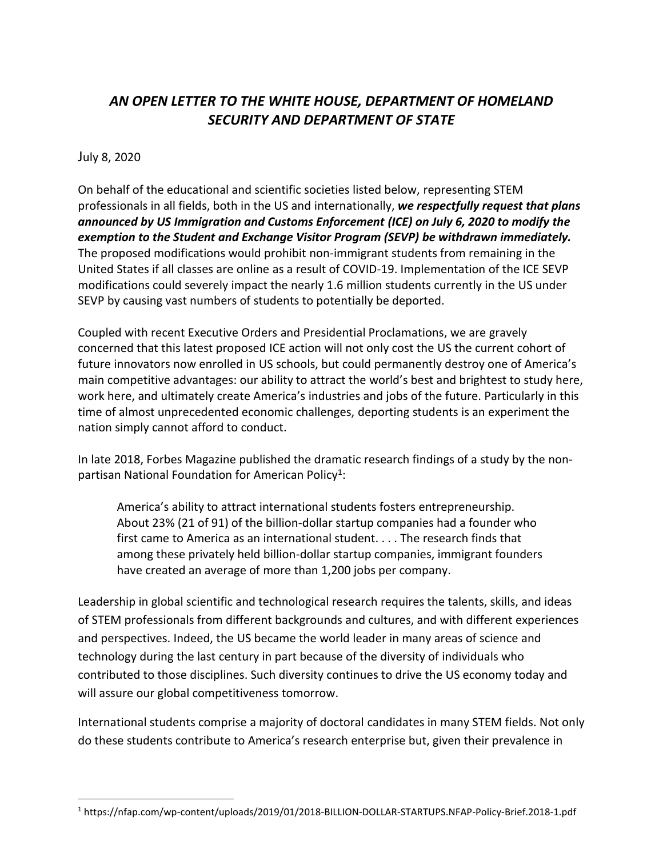## *AN OPEN LETTER TO THE WHITE HOUSE, DEPARTMENT OF HOMELAND SECURITY AND DEPARTMENT OF STATE*

## July 8, 2020

 $\overline{\phantom{a}}$ 

On behalf of the educational and scientific societies listed below, representing STEM professionals in all fields, both in the US and internationally, *we respectfully request that plans announced by US Immigration and Customs Enforcement (ICE) on July 6, 2020 to modify the exemption to the Student and Exchange Visitor Program (SEVP) be withdrawn immediately.*  The proposed modifications would prohibit non-immigrant students from remaining in the United States if all classes are online as a result of COVID-19. Implementation of the ICE SEVP modifications could severely impact the nearly 1.6 million students currently in the US under SEVP by causing vast numbers of students to potentially be deported.

Coupled with recent Executive Orders and Presidential Proclamations, we are gravely concerned that this latest proposed ICE action will not only cost the US the current cohort of future innovators now enrolled in US schools, but could permanently destroy one of America's main competitive advantages: our ability to attract the world's best and brightest to study here, work here, and ultimately create America's industries and jobs of the future. Particularly in this time of almost unprecedented economic challenges, deporting students is an experiment the nation simply cannot afford to conduct.

In late 2018, Forbes Magazine published the dramatic research findings of a study by the nonpartisan National Foundation for American Policy<sup>1</sup>:

America's ability to attract international students fosters entrepreneurship. About 23% (21 of 91) of the billion-dollar startup companies had a founder who first came to America as an international student. . . . The research finds that among these privately held billion-dollar startup companies, immigrant founders have created an average of more than 1,200 jobs per company.

Leadership in global scientific and technological research requires the talents, skills, and ideas of STEM professionals from different backgrounds and cultures, and with different experiences and perspectives. Indeed, the US became the world leader in many areas of science and technology during the last century in part because of the diversity of individuals who contributed to those disciplines. Such diversity continues to drive the US economy today and will assure our global competitiveness tomorrow.

International students comprise a majority of doctoral candidates in many STEM fields. Not only do these students contribute to America's research enterprise but, given their prevalence in

<sup>1</sup> https://nfap.com/wp-content/uploads/2019/01/2018-BILLION-DOLLAR-STARTUPS.NFAP-Policy-Brief.2018-1.pdf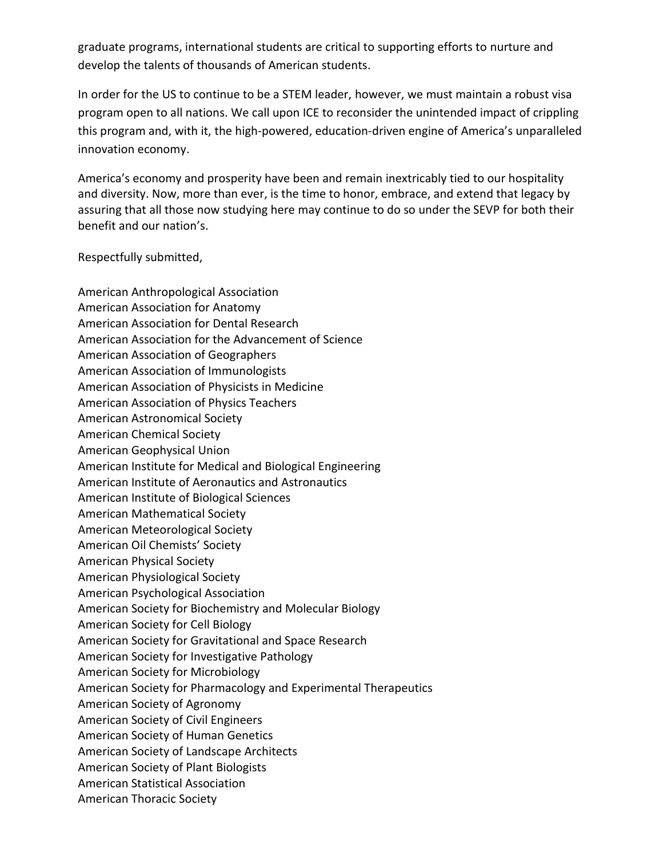graduate programs, international students are critical to supporting efforts to nurture and develop the talents of thousands of American students.

In order for the US to continue to be a STEM leader, however, we must maintain a robust visa program open to all nations. We call upon ICE to reconsider the unintended impact of crippling this program and, with it, the high-powered, education-driven engine of America's unparalleled innovation economy.

America's economy and prosperity have been and remain inextricably tied to our hospitality and diversity. Now, more than ever, is the time to honor, embrace, and extend that legacy by assuring that all those now studying here may continue to do so under the SEVP for both their benefit and our nation's.

Respectfully submitted,

American Anthropological Association American Association for Anatomy American Association for Dental Research American Association for the Advancement of Science American Association of Geographers American Association of Immunologists American Association of Physicists in Medicine American Association of Physics Teachers American Astronomical Society American Chemical Society American Geophysical Union American Institute for Medical and Biological Engineering American Institute of Aeronautics and Astronautics American Institute of Biological Sciences American Mathematical Society American Meteorological Society American Oil Chemists' Society American Physical Society American Physiological Society American Psychological Association American Society for Biochemistry and Molecular Biology American Society for Cell Biology American Society for Gravitational and Space Research American Society for Investigative Pathology American Society for Microbiology American Society for Pharmacology and Experimental Therapeutics American Society of Agronomy American Society of Civil Engineers American Society of Human Genetics American Society of Landscape Architects American Society of Plant Biologists American Statistical Association American Thoracic Society